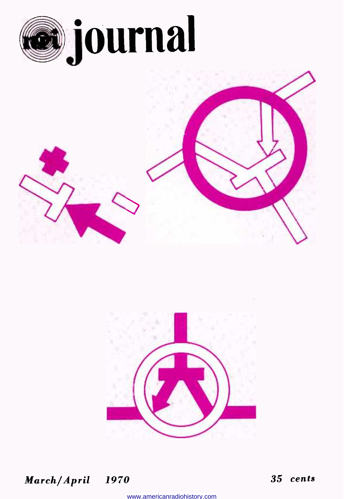





March/April 1970 35 cents

www.americanradiohistory.com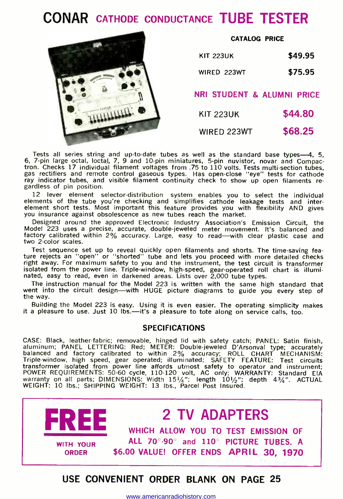## CONAR CATHODE CONDUCTANCE TUBE TESTER



### CATALOG PRICE

| <b>KIT 223UK</b> | \$49.95 |
|------------------|---------|
| WIRED 223WT      | \$75.95 |

NRI STUDENT & ALUMNI PRICE

KIT 223UK \$44.80

WIRED 223WT \$68.25

Tests all series string and up-to-date tubes as well as the standard base types—4, 5, 6, 7-pin large octal, loctal, 7, 9 and 10-pin miniatures, 5-pin nuvistor, novar and Compactron. Checks 17 individual filament voltages from .75 to 110 volts. Tests multi-section tubes, gas rectifiers and remote control gaseous types. Has open-close "eye" tests for cathode ray indicator tubes, and visible filament continuity check to show up open filaments re- gardless of pin position.

12 lever element selector- distribution system enables you to select the individual elements of the tube you're checking and simplifies cathode leakage tests and inter-<br>element short tests. Most important this feature provides you with flexibility AND gives element short tests. Most important this feature provides you with flexibility AND gives you insurance against obsolescence as new tubes reach the market.

Designed around the approved Electronic Industry Association's Emission Circuit, the Model 223 uses a precise, accurate, double -jeweled meter movement. It's balanced and factory calibrated within 2% accuracy. Large, easy to read—with clear plastic case and two 2-color scales.

Test sequence set up to reveal quickly open filaments and shorts. The time -saving fea-ture rejects an "open" or "shorted" tube and lets you proceed with more detailed checks right away. For maximum safety to you and the instrument, the test circuit is transformer isolated from the power line. Triple- window, high- speed, gear -operated roll chart is illuminated, easy to read, even in darkened areas. Lists over 2,000 tube types.

The instruction manual for the Model 223 is written with the same high standard that went into the circuit design-with HUGE picture diagrams to guide you every step of the way.

Building the Model 223 is easy. Using it is even easier. The operating simplicity makes it a pleasure to use. Just 10 lbs.-it's a pleasure to tote along on service calls, too.

### SPECIFICATIONS

CASE: Black, leather-fabric; removable, hinged lid with safety catch; PANEL: Satin finish,<br>aluminum; PANEL LETTERING: Red; METER: Double-jeweled D'Arsonval type; accurately Triple- window, high speed, gear operated; illuminated; SAFETY FEATURE: Test circuits transformer isolated from power line affords utmost safety to operator and instrument; POWER REQUIREMENTS: 50-60 cycle, 110-120 volt, AC only; WARRANTY: Standard EIA<br>warranty on all parts; DIMENSIONS: Width 15½"; length 10½"; depth 43¼". ACTUAL<br>WEIGHT: 10 lbs.; SHIPPING WEIGHT: 13 lbs., Parcel Post Insured.

### **FREE EXECUTE ALLOW YOU TO TEST EMISSION OF** WITH YOUR ORDER 2 TV ADAPTERS ALL 70°-90° and 110° PICTURE TUBES. A \$6.00 VALUE! OFFER ENDS APRIL 30, 1970

USE CONVENIENT ORDER BLANK ON PAGE 25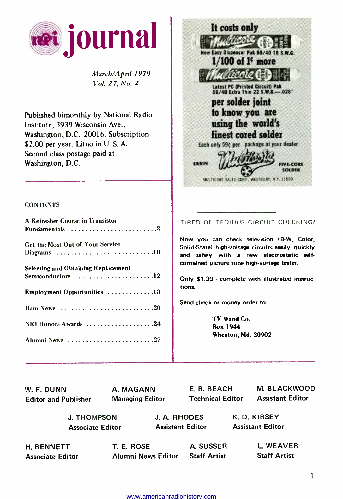

March/April 1970 Vol. 27, No. 2

Published bimonthly by National Radio Institute, 3939 Wisconsin Ave., Washington, D.C. 20016. Subscription \$2.00 per year. Litho in U.S.A. Second class postage paid at Washington, D.C.



### **CONTENTS**

| A Refresher Course in Transistor                                          |  |
|---------------------------------------------------------------------------|--|
|                                                                           |  |
|                                                                           |  |
| Get the Most Out of Your Service                                          |  |
|                                                                           |  |
| <b>Selecting and Obtaining Replacement</b>                                |  |
| Semiconductors 12                                                         |  |
| Employment Opportunities 18                                               |  |
|                                                                           |  |
| Ham News $\ldots \ldots \ldots \ldots \ldots \ldots \ldots \ldots \ldots$ |  |
| NRI Honors Awards 24                                                      |  |
| Alumni News 27                                                            |  |
|                                                                           |  |

TIRED OF TEDIOUS CIRCUIT CHECKING?

Now you can check television (B-W, Color, Solid- State) high -voltage circuits easily, quickly and safely with a new electrostatic selfcontained picture tube high-voltage tester.

Only \$1.39 - complete with illustrated instructions.

Send check or money order to

TV Wand Co. Box 1944 Wheaton, Md. 20902

| W. F. DUNN                  | A. MAGANN              | E. B. BEACH             | <b>M. BLACKWOOD</b>     |
|-----------------------------|------------------------|-------------------------|-------------------------|
| <b>Editor and Publisher</b> | <b>Managing Editor</b> | <b>Technical Editor</b> | <b>Assistant Editor</b> |
| <b>J. THOMPSON</b>          |                        | J. A. RHODES            | K. D. KIBSEY            |
| <b>Associate Editor</b>     |                        | <b>Assistant Editor</b> | <b>Assistant Editor</b> |
| <b>H. BENNETT</b>           | T. E. ROSE             | A. SUSSER               | <b>L. WEAVER</b>        |
| <b>Associate Editor</b>     | Alumni News Editor     | <b>Staff Artist</b>     | <b>Staff Artist</b>     |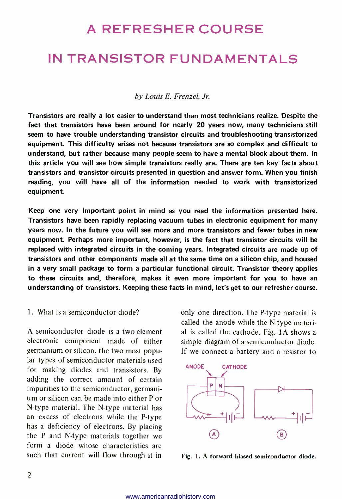### A REFRESHER COURSE

### IN TRANSISTOR FUNDAMENTALS

### by Louis E. Frenzel, Jr.

Transistors are really a lot easier to understand than most technicians realize. Despite the fact that transistors have been around for nearly 20 years now, many technicians still seem to have trouble understanding transistor circuits and troubleshooting transistorized equipment. This difficulty arises not because transistors are so complex and difficult to understand, but rather because many people seem to have a mental block about them. In this article you will see how simple transistors really are. There are ten key facts about transistors and transistor circuits presented in question and answer form. When you finish reading, you will have all of the information needed to work with transistorized equipment.

Keep one very important point in mind as you read the information presented here. Transistors have been rapidly replacing vacuum tubes in electronic equipment for many years now. In the future you will see more and more transistors and fewer tubes in new equipment. Perhaps more important, however, is the fact that transistor circuits will be replaced with integrated circuits in the coming years. Integrated circuits are made up of transistors and other components made all at the same time on a silicon chip, and housed in a very small package to form a particular functional circuit. Transistor theory applies to these circuits and, therefore, makes it even more important for you to have an understanding of transistors. Keeping these facts in mind, let's get to our refresher course.

### 1. What is a semiconductor diode?

A semiconductor diode is a two-element electronic component made of either germanium or silicon, the two most popular types of semiconductor materials used for making diodes and transistors. By adding the correct amount of certain impurities to the semiconductor, germani- um or silicon can be made into either P or N-type material. The N-type material has an excess of electrons while the P-type has a deficiency of electrons. By placing the P and N-type materials together we form a diode whose characteristics are such that current will flow through it in

only one direction. The P-type material is called the anode while the N-type material is called the cathode. Fig. 1A shows a simple diagram of a semiconductor diode. If we connect a battery and a resistor to



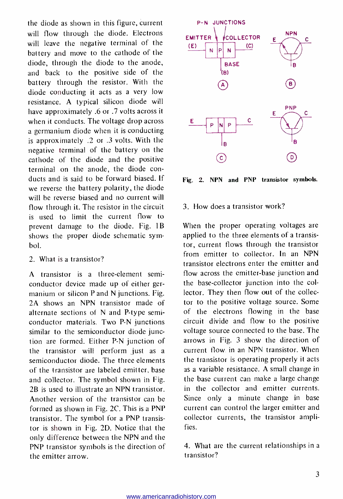the diode as shown in this figure, current will flow through the diode. Electrons will leave the negative terminal of the battery and move to the cathode of the diode, through the diode to the anode, and back to the positive side of the battery through the resistor. With the diode conducting it acts as a very low resistance. A typical silicon diode will have approximately .6 or .7 volts across it when it conducts. The voltage drop across a germanium diode when it is conducting is approximately .2 or .3 volts. With the negative terminal of the battery on the cathode of the diode and the positive terminal on the anode, the diode con ducts and is said to be forward biased. If we reverse the battery polarity, the diode will be reverse biased and no current will flow through it. The resistor in the circuit is used to limit the current flow to prevent damage to the diode. Fig. 1B shows the proper diode schematic symbol.

### 2. What is a transistor?

A transistor is a three-element semiconductor device made up of either germanium or silicon P and N junctions. Fig. 2A shows an NPN transistor made of alternate sections of N and P-type semiconductor materials. Two P-N junctions similar to the semiconductor diode junction are formed. Either P-N junction of the transistor will perform just as a semiconductor diode. The three elements of the transistor are labeled emitter, base and collector. The symbol shown in Fig. 2B is used to illustrate an NPN transistor. Another version of the transistor can be formed as shown in Fig. 2C. This is a PNP transistor. The symbol for a PNP transistor is shown in Fig. 2D. Notice that the only difference between the NPN and the PNP transistor symbols is the direction of the emitter arrow.



Fig. 2. NPN and PNP transistor symbols.

### 3. How does a transistor work?

When the proper operating voltages are applied to the three elements of a transistor, current flows through the transistor from emitter to collector. In an NPN transistor electrons enter the emitter and flow across the emitter-base junction and the base -collector junction into the collector. They then flow out of the collector to the positive voltage source. Some of the electrons flowing in the base circuit divide and flow to the positive voltage source connected to the base. The arrows in Fig. 3 show the direction of current flow in an NPN transistor. When the transistor is operating properly it acts as a variable resistance. A small change in the base current can make a large change in the collector and emitter currents. Since only a minute change in base current can control the larger emitter and collector currents, the transistor amplifies.

4. What are the current relationships in a transistor?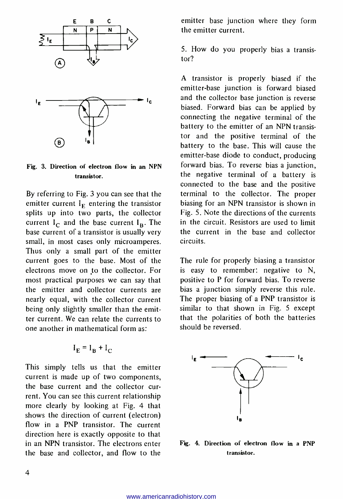

### Fig. 3. Direction of electron flow in an NPN transistor.

(в`

By referring to Fig. 3 you can see that the emitter current  $I<sub>F</sub>$  entering the transistor splits up into two parts, the collector current  $I_C$  and the base current  $I<sub>B</sub>$ . The base current of a transistor is usually very small, in most cases only microamperes. Thus only a small part of the emitter current goes to the base. Most of the electrons move on to the collector. For is easy to remember: negative to N, most practical purposes we can say that positive to P for forward bias. To reverse most practical purposes we can say that the emitter and collector currents are nearly equal, with the collector current being only slightly smaller than the emitter current. We can relate the currents to one another in mathematical form as:

$$
I_{E} = I_{B} + I_{C}
$$

This simply tells us that the emitter current is made up of two components, the base current and the collector cur rent. You can see this current relationship more clearly by looking at Fig. 4 that shows the direction of current (electron) flow in a PNP transistor. The current direction here is exactly opposite to that in an NPN transistor. The electrons enter the base and collector, and flow to the emitter base junction where they form the emitter current.

5. How do you properly bias a transistor?

A transistor is properly biased if the emitter-base junction is forward biased<br>and the collector base junction is reverse biased. Forward bias can be applied by connecting the negative terminal of the battery to the emitter of an NPN transistor and the positive terminal of the battery to the base. This will cause the emitter -base diode to conduct, producing forward bias. To reverse bias a junction, the negative terminal of a battery is connected to the base and the positive terminal to the collector. The proper biasing for an NPN transistor is shown in Fig. 5. Note the directions of the currents in the circuit. Resistors are used to limit the current in the base and collector circuits.

The rule for properly biasing a transistor is easy to remember: negative to N, bias a junction simply reverse this rule. The proper biasing of a PNP transistor is similar to that shown in Fig. 5 except that the polarities of both the batteries should be reversed.



Fig. 4. Direction of electron flow in a PNP transistor.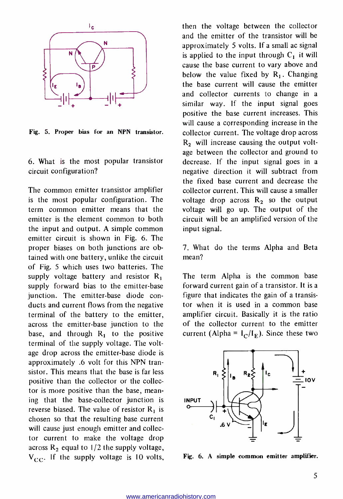

Fig. 5. Proper bias for an NPN transistor.

6. What is the most popular transistor circuit configuration?

The common emitter transistor amplifier is the most popular configuration. The term common emitter means that the emitter is the element common to both the input and output. A simple common emitter circuit is shown in Fig. 6. The proper biases on both junctions are obtained with one battery, unlike the circuit of Fig. 5 which uses two batteries. The supply voltage battery and resistor  $R_1$ supply forward bias to the emitter-base junction. The emitter-base diode conducts and current flows from the negative terminal of the battery to the emitter, across the emitter -base junction to the base, and through  $R_1$  to the positive terminal of the supply voltage. The voltage drop across the emitter -base diode is approximately .6 volt for this NPN transistor. This means that the base is far less positive than the collector or the collector is more positive than the base, mean ing that the base -collector junction is reverse biased. The value of resistor  $R_1$  is chosen so that the resulting base current will cause just enough emitter and collector current to make the voltage drop across  $R_2$  equal to 1/2 the supply voltage,  $V_{CC}$ . If the supply voltage is 10 volts, then the voltage between the collector and the emitter of the transistor will be approximately 5 volts. If a small ac signal<br>is applied to the input through  $C_1$  it will cause the base current to vary above and below the value fixed by  $R_1$ . Changing the base current will cause the emitter and collector currents to change in a similar way. If the input signal goes positive the base current increases. This will cause a corresponding increase in the collector current. The voltage drop across  $R<sub>2</sub>$  will increase causing the output voltage between the collector and ground to decrease. If the input signal goes in a negative direction it will subtract from the fixed base current and decrease the collector current. This will cause a smaller voltage drop across  $R_2$  so the output voltage will go up. The output of the circuit will be an amplified version of the input signal.

7. What do the terms Alpha and Beta mean?

The term Alpha is the common base forward current gain of a transistor. It is a figure that indicates the gain of a transistor when it is used in a common base amplifier circuit. Basically it is the ratio of the collector current to the emitter current (Alpha =  $I_C/I_F$ ). Since these two



Fig. 6. A simple common emitter amplifier.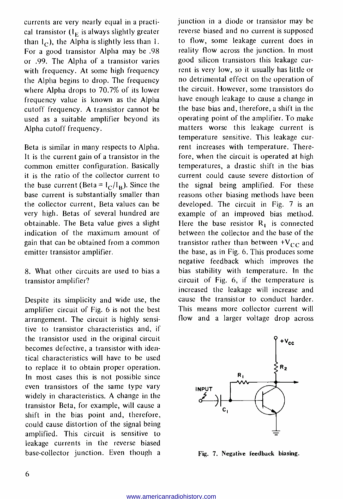currents are very nearly equal in a practical transistor  $(I<sub>E</sub>$  is always slightly greater than  $I_C$ ), the Alpha is slightly less than 1. For a good transistor Alpha may be .98 or .99. The Alpha of a transistor varies with frequency. At some high frequency rent is very low, so it usually has little or the Alpha begins to drop. The frequency where Alpha drops to 70.7% of its lower frequency value is known as the Alpha cutoff frequency. A transistor cannot be used as a suitable amplifier beyond its Alpha cutoff frequency.

Beta is similar in many respects to Alpha. It is the current gain of a transistor in the common emitter configuration. Basically it is the ratio of the collector current to the base current (Beta =  $I_C/I_B$ ). Since the base current is substantially smaller than the collector current, Beta values can be very high. Betas of several hundred are obtainable. The Beta value gives a slight indication of the maximum amount of gain that can be obtained from a common emitter transistor amplifier.

8. What other circuits are used to bias a transistor amplifier?

Despite its simplicity and wide use, the amplifier circuit of Fig. 6 is not the best arrangement. The circuit is highly sensitive to transistor characteristics and, if the transistor used in the original circuit becomes defective, a transistor with identical characteristics will have to be used to replace it to obtain proper operation. In most cases this is not possible since even transistors of the same type vary widely in characteristics. A change in the transistor Beta, for example, will cause a shift in the bias point and, therefore, could cause distortion of the signal being amplified. This circuit is sensitive to leakage currents in the reverse biased base -collector junction. Even though a junction in a diode or transistor may be reverse biased and no current is supposed to flow, some leakage current does in reality flow across the junction. In most good silicon transistors this leakage cur no detrimental effect on the operation of the circuit. However, some transistors do have enough leakage to cause a change in the base bias and, therefore, a shift in the operating point of the amplifier. To make matters worse this leakage current is temperature sensitive. This leakage cur rent increases with temperature. Therefore, when the circuit is operated at high temperatures, a drastic shift in the bias current could cause severe distortion of the signal being amplified. For these reasons other biasing methods have been developed. The circuit in Fig. 7 is an example of an improved bias method. Here the base resistor  $R_1$  is connected between the collector and the base of the transistor rather than between  $+V_{CC}$  and the base, as in Fig. 6. This produces some negative feedback which improves the bias stability with temperature. In the circuit of Fig. 6, if the temperature is increased the leakage will increase and cause the transistor to conduct harder. This means more collector current will flow and a larger voltage drop across



Fig. 7. Negative feedback biasing.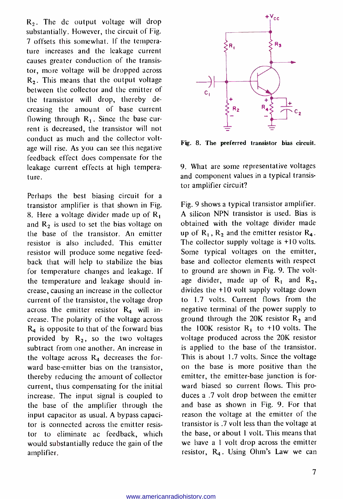R2. The dc output voltage will drop substantially. However, the circuit of Fig. 7 offsets this somewhat. If the temperature increases and the leakage current causes greater conduction of the transistor, more voltage will be dropped across  $R<sub>2</sub>$ . This means that the output voltage between the collector and the emitter of the transistor will drop, thereby decreasing the amount of base current flowing through  $R_1$ . Since the base current is decreased, the transistor will not conduct as much and the collector voltage will rise. As you can see this negative feedback effect does compensate for the leakage current effects at high temperature.

Perhaps the best biasing circuit for a transistor amplifier is that shown in Fig. 8. Here a voltage divider made up of  $R_1$ and  $R_2$  is used to set the bias voltage on the base of the transistor. An emitter resistor is also included. This emitter resistor will produce some negative feedback that will help to stabilize the bias for temperature changes and leakage. If the temperature and leakage should increase, causing an increase in the collector current of the transistor, the voltage drop across the emitter resistor  $R_4$  will increase. The polarity of the voltage across  $R<sub>4</sub>$  is opposite to that of the forward bias provided by  $R_2$ , so the two voltages subtract from one another. An increase in the voltage across  $R_4$  decreases the forward base-emitter bias on the transistor, thereby reducing the amount of collector current, thus compensating for the initial increase. The input signal is coupled to the base of the amplifier through the input capacitor as usual. A bypass capacitor is connected across the emitter resistor to eliminate ac feedback, which would substantially reduce the gain of the amplifier.



Fig. 8. The preferred transistor bias circuit.

9. What are some representative voltages and component values in a typical transistor amplifier circuit?

Fig. 9 shows a typical transistor amplifier. A silicon NPN transistor is used. Bias is obtained with the voltage divider made up of  $R_1$ ,  $R_2$  and the emitter resistor  $R_4$ . The collector supply voltage is +10 volts. Some typical voltages on the emitter, base and collector elements with respect to ground are shown in Fig. 9. The voltage divider, made up of  $R_1$  and  $R_2$ , divides the +10 volt supply voltage down to 1.7 volts. Current flows from the negative terminal of the power supply to ground through the 20K resistor  $R_2$  and the 100K resistor  $R_1$  to +10 volts. The voltage produced across the 20K resistor is applied to the base of the transistor. This is about 1.7 volts. Since the voltage on the base is more positive than the emitter, the emitter-base junction is forward biased so current flows. This produces a .7 volt drop between the emitter and base as shown in Fig. 9. For that reason the voltage at the emitter of the transistor is .7 volt less than the voltage at the base, or about 1 volt. This means that we have a 1 volt drop across the emitter resistor,  $R_4$ . Using Ohm's Law we can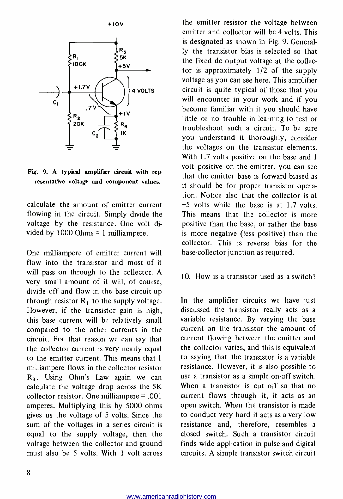

Fig. 9. A typical amplifier circuit with representative voltage and component values.

calculate the amount of emitter current flowing in the circuit. Simply divide the This means that the collector is more voltage by the resistance. One volt divided by 1000 Ohms = 1 milliampere.

One milliampere of emitter current will flow into the transistor and most of it will pass on through to the collector. A very small amount of it will, of course, divide off and flow in the base circuit up through resistor  $R_1$  to the supply voltage. However, if the transistor gain is high, this base current will be relatively small compared to the other currents in the circuit. For that reason we can say that the collector current is very nearly equal to the emitter current. This means that 1 milliampere flows in the collector resistor R3. Using Ohm's Law again we can calculate the voltage drop across the 5K collector resistor. One milliampere = .001 amperes. Multiplying this by 5000 ohms gives us the voltage of 5 volts. Since the sum of the voltages in a series circuit is equal to the supply voltage, then the voltage between the collector and ground must also be 5 volts. With 1 volt across

the emitter resistor the voltage between emitter and collector will be 4 volts. This is designated as shown in Fig. 9. Generally the transistor bias is selected so that the fixed dc output voltage at the collector is approximately 1/2 of the supply voltage as you can see here. This amplifier circuit is quite typical of those that you will encounter in your work and if you become familiar with it you should have little or no trouble in learning to test or troubleshoot such a circuit. To be sure you understand it thoroughly, consider the voltages on the transistor elements. With 1.7 volts positive on the base and 1 volt positive on the emitter, you can see that the emitter base is forward biased as it should be for proper transistor operation. Notice also that the collector is at +5 volts while the base is at 1.7 volts. positive than the base, or rather the base is more negative (less positive) than the collector. This is reverse bias for the base -collector junction as required.

### 10. How is a transistor used as a switch?

In the amplifier circuits we have just discussed the transistor really acts as a variable resistance. By varying the base current on the transistor the amount of current flowing between the emitter and the collector varies, and this is equivalent to saying that the transistor is a variable resistance. However, it is also possible to use a transistor as a simple on -off switch. When a transistor is cut off so that no current flows through it, it acts as an open switch. When the transistor is made to conduct very hard it acts as a very low resistance and, therefore, resembles a closed switch. Such a transistor circuit finds wide application in pulse and digital circuits. A simple transistor switch circuit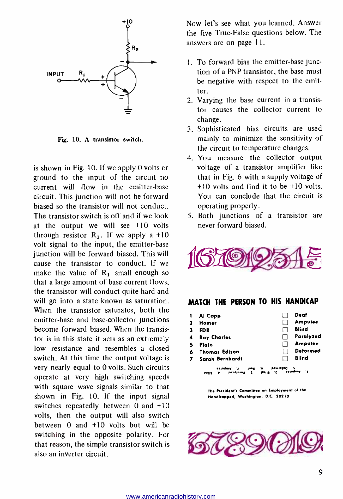

Fig. 10. A transistor switch.

is shown in Fig. 10. If we apply 0 volts or ground to the input of the circuit no current will flow in the emitter-base circuit. This junction will not be forward biased so the transistor will not conduct. The transistor switch is off and if we look at the output we will see +10 volts through resistor  $R_2$ . If we apply a +10 volt signal to the input, the emitter-base junction will be forward biased. This will cause the transistor to conduct. If we make the value of  $R_1$  small enough so that a large amount of base current flows, the transistor will conduct quite hard and will go into a state known as saturation. When the transistor saturates, both the emitter -base and base -collector junctions become forward biased. When the transistor is in this state it acts as an extremely low resistance and resembles a closed switch. At this time the output voltage is very nearly equal to 0 volts. Such circuits operate at very high switching speeds with square wave signals similar to that shown in Fig. 10. If the input signal switches repeatedly between 0 and +10 volts, then the output will also switch between 0 and +10 volts but will be switching in the opposite polarity. For that reason, the simple transistor switch is also an inverter circuit.

Now let's see what you learned. Answer the five True -False questions below. The answers are on page 11.

- 1. To forward bias the emitter -base junction of a PNP transistor, the base must be negative with respect to the emitter.
- 2. Varying the base current in a transistor causes the collector current to change.
- 3. Sophisticated bias circuits are used mainly to minimize the sensitivity of the circuit to temperature changes.
- 4. You measure the collector output voltage of a transistor amplifier like that in Fig. 6 with a supply voltage of +10 volts and find it to be +10 volts. You can conclude that the circuit is operating properly.
- 5. Both junctions of a transistor are never forward biased.



### MATCH THE PERSON TO HIS HANDICAP

|   | Al Capp                                                          | Deaf                                                |
|---|------------------------------------------------------------------|-----------------------------------------------------|
| 2 | Homer                                                            | Amputee                                             |
| з | FDR                                                              | Blind                                               |
| 4 | <b>Ray Charles</b>                                               | Paralyzed                                           |
|   | Piato                                                            | Amputee                                             |
| £ | <b>Thomas Edison</b>                                             | Deformed                                            |
|   | Sarah Bernhardt                                                  | <b>Blind</b>                                        |
|   | estudera<br>1000<br>٠,<br><b>BezAIDJOJ</b><br>°€.<br><b>PUIS</b> | <b>Demioted</b><br>۰,<br>ى ساھەر دە<br>- 11<br>pung |

The President's Committee on Employment of the Handicapped, Washington, D.C. 20210

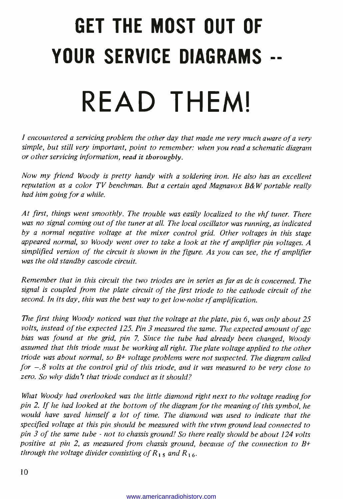# GET THE MOST OUT OF YOUR SERVICE DIAGRAMS -- READ THEM!

I encountered a servicing problem the other day that made me very much aware of a very simple, but still very important, point to remember: when you read a schematic diagram or other servicing information, read it thoroughly.

Now my friend Woody is pretty handy with a soldering iron. He also has an excellent reputation as a color TV benchman. But a certain aged Magnavox B&W portable really had him going for a while.

At first, things went smoothly. The trouble was easily localized to the vhf tuner. There was no signal coming out of the tuner at all. The local oscillator was running, as indicated by a normal negative voltage at the mixer control grid. Other voltages in this stage appeared normal, so Woody went over to take a look at the rf amplifier pin voltages. <sup>A</sup> simplified version of the circuit is shown in the figure. As you can see, the rf amplifier was the old standby cascode circuit.

Remember that in this circuit the two triodes are in series as far as dc is concerned. The signal is coupled from the plate circuit of the first triode to the cathode circuit of the second. In its day, this was the best way to get low-noise rf amplification.

The first thing Woody noticed was that the voltage at the plate, pin 6, was only about 25 volts, instead of the expected 125. Pin 3 measured the same. The expected amount of agc bias was found at the grid, pin 7. Since the tube had already been changed, Woody assumed that this triode must be working all right. The plate voltage applied to the other triode was about normal, so  $B<sub>+</sub>$  voltage problems were not suspected. The diagram called for  $-.8$  volts at the control grid of this triode, and it was measured to be very close to zero. So why didn't that triode conduct as it should?

What Woody had overlooked was the little diamond right next to the voltage reading for pin 2. If he had looked at the bottom of the diagram for the meaning of this symbol, he would have saved himself a lot of time. The diamond was used to indicate that the specified voltage at this pin should be measured with the vtvm ground lead connected to pin 3 of the same tube - not to chassis ground! So there really should be about 124 volts positive at pin 2, as measured from chassis ground, because of the connection to  $B^+$ through the voltage divider consisting of  $R_{1.5}$  and  $R_{1.6}$ .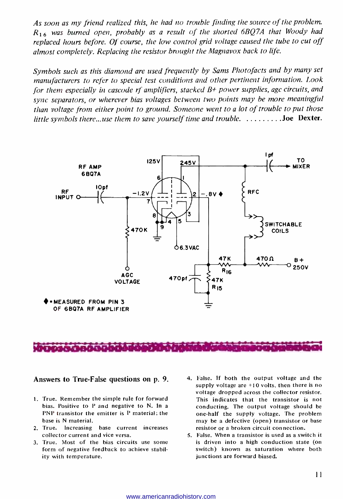As soon as my friend realized this, he had no trouble finding the source of the problem.  $R_{16}$  was burned open, probably as a result of the shorted 6BQ7A that Woody had replaced hours before. Of course, the low control grid voltage caused the tube to cut off almost completely. Replacing the resistor brought the Magnavox back to life.

Symbols such as this diamond are used frequently by Sams Photofacts and by many set manufacturers to refer to special test conditions and other pertinent information. Look for them especially in cascode rf amplifiers, stacked  $B+$  power supplies, agc circuits, and sync separators, or wherever bias voltages between two points may be more meaningful than voltage from either point to ground. Someone went to a lot of trouble to put those little symbols there...use them to save yourself time and trouble.  $\dots\dots\dots$  Joe Dexter.



### 7,,... ', ^'MT`T:"Y Y 7, r ^r- 1-t -r T r -Y+Ih-Yrt Y- when a control and a month of the

Answers to True-False questions on p. 9.

- 1. True. Remember the simple rule for forward bias. Positive to P and negative to N. In a PNP transistor the emitter is P material; the base is N material.
- 2. True. Increasing base current increases collector current and vice versa.
- 3. True. Most of the bias circuits use some form of negative feedback to achieve stability with temperature.
- 4. False. If both the output voltage and the supply voltage are +10 volts, then there is no voltage dropped across the collector resistor. This indicates that the transistor is not conducting. The output voltage should be one -half the supply voltage. The problem may be a defective (open) transistor or base resistor or a broken circuit connection.
- 5. False. When a transistor is used as a switch it is driven into a high conduction state (on switch) known as saturation where both junctions are forward biased.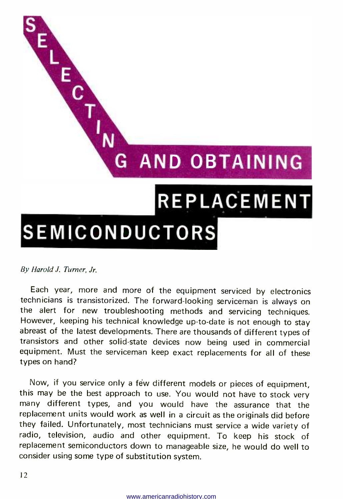

By Harold J. Turner, Jr.

Each year, more and more of the equipment serviced by electronics technicians is transistorized. The forward -looking serviceman is always on the alert for new troubleshooting methods and servicing techniques. However, keeping his technical knowledge up -to -date is not enough to stay abreast of the latest developments. There are thousands of different types of transistors and other solid -state devices now being used in commercial equipment. Must the serviceman keep exact replacements for all of these types on hand?

Now, if you service only a few different models or pieces of equipment, this may be the best approach to use. You would not have to stock very many different types, and you would have the assurance that the replacement units would work as well in a circuit as the originals did before they failed. Unfortunately, most technicians must service a wide variety of radio, television, audio and other equipment. To keep his stock of replacement semiconductors down to manageable size, he would do well to consider using some type of substitution system.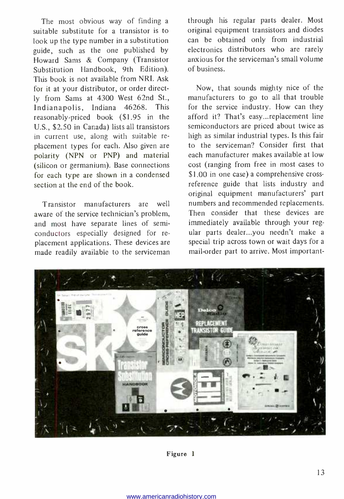The most obvious way of finding a suitable substitute for a transistor is to look up the type number in a substitution guide, such as the one published by Howard Sams & Company (Transistor Substitution Handbook, 9th Edition). This book is not available from NRI. Ask for it at your distributor, or order directly from Sams at 4300 West 62nd St., Indianapolis, Indiana 46268. This reasonably -priced book (\$1.95 in the U.S., \$2.50 in Canada) lists all transistors in current use, along with suitable re placement types for each. Also given are polarity (NPN or PNP) and material (silicon or germanium). Base connections for each type are shown in a condensed section at the end of the book.

Transistor manufacturers are well aware of the service technician's problem, and most have separate lines of semiconductors especially designed for re placement applications. These devices are made readily available to the serviceman

through his regular parts dealer. Most original equipment transistors and diodes can be obtained only from industrial electronics distributors who are rarely anxious for the serviceman's small volume of business.

Now, that sounds mighty nice of the manufacturers to go to all that trouble for the service industry. How can they afford it? That's easy...replacement line semiconductors are priced about twice as high as similar industrial types. Is this fair to the serviceman? Consider first that each manufacturer makes available at low cost (ranging from free in most cases to \$1.00 in one case) a comprehensive crossreference guide that lists industry and original equipment manufacturers' part numbers and recommended replacements. Then consider that these devices are immediately available through your regular parts dealer...you needn't make a special trip across town or wait days for a mail -order part to arrive. Most important-



Figure 1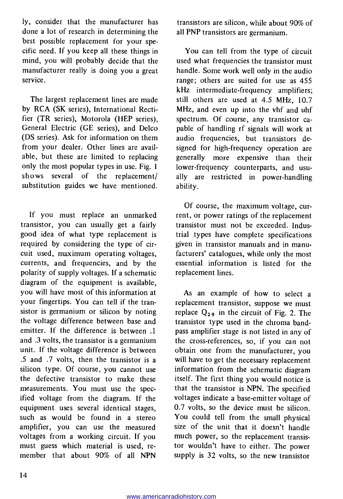ly, consider that the manufacturer has done a lot of research in determining the best possible replacement for your specific need. If you keep all these things in mind, you will probably decide that the manufacturer really is doing you a great service.

The largest replacement lines are made by RCA (SK series), International Rectifier (TR series), Motorola (HEP series), General Electric (GE series), and Delco (DS series). Ask for information on them from your dealer. Other lines are available, but these are limited to replacing only the most popular types in use. Fig. 1 shows several of the replacement/ substitution guides we have mentioned.

If you must replace an unmarked transistor, you can usually get a fairly good idea of what type replacement is required by considering the type of circuit used, maximum operating voltages, currents, and frequencies, and by the polarity of supply voltages. If a schematic diagram of the equipment is available, you will have most of this information at your fingertips. You can tell if the transistor is germanium or silicon by noting the voltage difference between base and emitter. If the difference is between .1 and .3 volts, the transistor is a germanium unit. If the voltage difference is between .5 and .7 volts, then the transistor is a silicon type. Of course, you cannot use the defective transistor to make these measurements. You must use the specified voltage from the diagram. If the equipment uses several identical stages, such as would be found in a stereo amplifier, you can use the measured voltages from a working circuit. If you must guess which material is used, re member that about 90% of all NPN

transistors are silicon, while about 90% of all PNP transistors are germanium.

You can tell from the type of circuit used what frequencies the transistor must handle. Some work well only in the audio range; others are suited for use as 455 kHz intermediate -frequency amplifiers; still others are used at 4.5 MHz, 10.7 MHz, and even up into the vhf and uhf spectrum. Of course, any transistor ca pable of handling rf signals will work at audio frequencies, but transistors designed for high-frequency operation are generally more expensive than their<br>lower-frequency counterparts, and usually are restricted in power-handling ability.

Of course, the maximum voltage, cur rent, or power ratings of the replacement transistor must not be exceeded. Industrial types have complete specifications given in transistor manuals and in manu facturers' catalogues, while only the most essential information is listed for the replacement lines.

As an example of how to select a replacement transistor, suppose we must replace  $Q_{29}$  in the circuit of Fig. 2. The transistor type used in the chroma bandpass amplifier stage is not listed in any of the cross -references, so, if you can not obtain one from the manufacturer, you will have to get the necessary replacement information from the schematic diagram itself. The first thing you would notice is that the transistor is NPN. The specified voltages indicate a base -emitter voltage of 0.7 volts, so the device must be silicon. You could tell from the small physical size of the unit that it doesn't handle much power, so the replacement transistor wouldn't have to either. The power supply is 32 volts, so the new transistor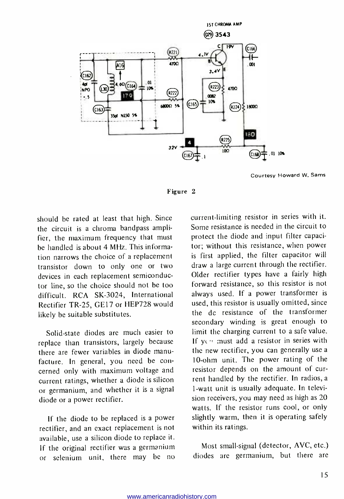

Courtesy Howard W. Sams



should be rated at least that high. Since the circuit is a chroma bandpass amplifier, the maximum frequency that must be handled is about 4 MHz. This information narrows the choice of a replacement transistor down to only one or two devices in each replacement semiconductor line, so the choice should not be too difficult. RCA SK-3024, International Rectifier TR-25, GE17 or HEP728 would likely be suitable substitutes.

Solid-state diodes are much easier to replace than transistors, largely because there are fewer variables in diode manu facture. In general, you need be con cerned only with maximum voltage and<br>current ratings, whether a diode is silicon or germanium, and whether it is a signal diode or a power rectifier.

If the diode to be replaced is a power rectifier, and an exact replacement is not available, use a silicon diode to replace it. If the original rectifier was a germanium or selenium unit, there may be no current -limiting resistor in series with it. Some resistance is needed in the circuit to protect the diode and input filter capacitor; without this resistance, when power is first applied, the filter capacitor will draw a large current through the rectifier. Older rectifier types have a fairly high forward resistance, so this resistor is not always used. If a power transformer is used, this resistor is usually omitted, since the dc resistance of the transformer secondary winding is great enough to limit the charging current to a safe value. If ye must add a resistor in series with the new rectifier, you can generally use a 10 -ohm unit. The power rating of the resistor depends on the amount of cur rent handled by the rectifier. In radios, a 1 -watt unit is usually adequate. In television receivers, you may need as high as 20 watts. If the resistor runs cool, or only slightly warm, then it is operating safely within its ratings.

Most small-signal (detector, AVC, etc.) diodes are germanium, but there are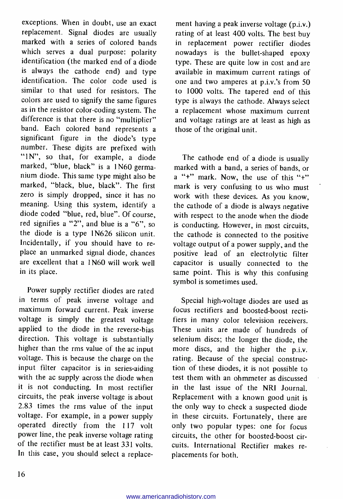exceptions. When in doubt, use an exact replacement. Signal diodes are usually marked with a series of colored bands which serves a dual purpose: polarity identification (the marked end of a diode is always the cathode end) and type identification. The color code used is similar to that used for resistors. The colors are used to signify the same figures as in the resistor color- coding system. The difference is that there is no "multiplier" band. Each colored band represents a significant figure in the diode's type number. These digits are prefixed with "IN", so that, for example, a diode marked, "blue, black" is a 1N60 germanium diode. This same type might also be zero is simply dropped, since it has no meaning. Using this system, identify a diode coded "blue, red, blue". Of course, red signifies a "2", and blue is a "6", so the diode is a type 1N626 silicon unit. Incidentally, if you should have to re place an unmarked signal diode, chances are excellent that a 1 N60 will work well in its place.

Power supply rectifier diodes are rated in terms of peak inverse voltage and maximum forward current. Peak inverse voltage is simply the greatest voltage applied to the diode in the reverse-bias direction. This voltage is substantially higher than the rms value of the ac input voltage. This is because the charge on the input filter capacitor is in series-aiding with the ac supply across the diode when it is not conducting. In most rectifier circuits, the peak inverse voltage is about 2.83 times the rms value of the input voltage. For example, in a power supply operated directly from the 117 volt power line, the peak inverse voltage rating of the rectifier must be at least 331 volts. In this case, you should select a replace-

ment having a peak inverse voltage (p.i.v.) rating of at least 400 volts. The best buy in replacement power rectifier diodes nowadays is the bullet-shaped epoxy type. These are quite low in cost and are available in maximum current ratings of one and two amperes at p.i.v.'s from 50 to 1000 volts. The tapered end of this type is always the cathode. Always select a replacement whose maximum current and voltage ratings are at least as high as those of the original unit.

The cathode end of a diode is usually marked with a band, a series of bands, or  $a'$  " +" mark. Now, the use of this "+" mark is very confusing to us who must work with these devices. As you know, the cathode of a diode is always negative with respect to the anode when the diode is conducting. However, in most circuits, the cathode is connected to the positive voltage output of a power supply, and the positive lead of an electrolytic filter capacitor is usually connected to the same point. This is why this confusing symbol is sometimes used.

Special high-voltage diodes are used as focus rectifiers and boosted -boost rectifiers in many color television receivers. These units are made of hundreds of selenium discs; the longer the diode, the more discs, and the higher the p.i.v. rating. Because of the special construction of these diodes, it is not possible to test them with an ohmmeter as discussed in the last issue of the NRI Journal. Replacement with a known good unit is the only way to check a suspected diode in these circuits. Fortunately, there are only two popular types: one for focus circuits, the other for boosted-boost circuits. International Rectifier makes re placements for both.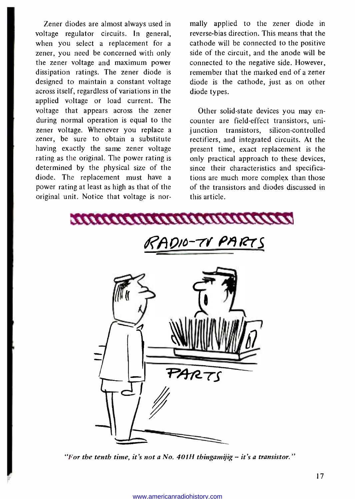Zener diodes are almost always used in voltage regulator circuits. In general, when you select a replacement for a zener, you need be concerned with only the zener voltage and maximum power dissipation ratings. The zener diode is designed to maintain a constant voltage across itself, regardless of variations in the applied voltage or load current. The voltage that appears across the zener during normal operation is equal to the zener voltage. Whenever you replace a zener, be sure to obtain a substitute having exactly the same zener voltage rating as the original. The power rating is determined by the physical size of the diode. The replacement must have a power rating at least as high as that of the original unit. Notice that voltage is normally applied to the zener diode in reverse -bias direction. This means that the cathode will be connected to the positive side of the circuit, and the anode will be connected to the negative side. However, remember that the marked end of a zener diode is the cathode, just as on other diode types.

Other solid-state devices you may encounter are field-effect transistors, unijunction transistors, silicon-controlled rectifiers, and integrated circuits. At the present time, exact replacement is the only practical approach to these devices, since their characteristics and specifications are much more complex than those of the transistors and diodes discussed in this article.



"For the tenth time, it's not a No. 401H thingamijig  $-$  it's a transistor."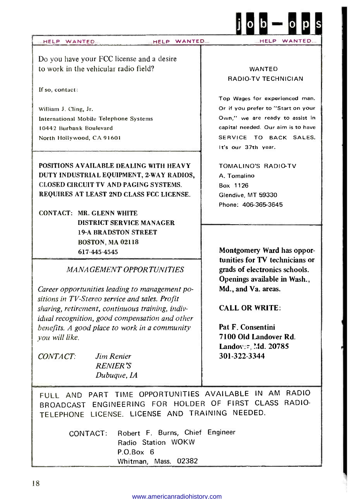

Do you have your FCC license and a desire to work in the vehicular radio field?

If so, contact:

William J. Cling, Jr. International Mobile Telephone Systems 10442 Burbank Boulevard North Hollywood, CA 91601

POSITIONS AVAILABLE DEALING WITH HEAVY DUTY INDUSTRIAL EQUIPMENT, 2 -WAY RADIOS, CLOSED CIRCUIT TV AND PAGING SYSTEMS. REQUIRES AT LEAST 2ND CLASS FCC LICENSE.

CONTACT: MR. GLENN WHITE DISTRICT SERVICE MANAGER 19 -A BRADSTON STREET BOSTON, MA 02118 617- 445 -4545 Montgomery Ward has oppor-

MANAGEMENT OPPORTUNITIES

Career opportunities leading to management positions in TV-Stereo service and sales. Profit sharing, retirement, continuous training, individual recognition, good compensation and other benefits. A good place to work in a community you will like.

CONTACT: Jim Renier RENIER'S Dubuque, IA

### WANTED RADIO -TV TECHNICIAN

Top Wages for experienced man. Or if you prefer to "Start on your Own," we are ready to assist in capital needed. Our aim is to have SERVICE TO BACK SALES. It's our 37th year.

TOMALINO'S RADIO-TV A. Tomalino Box 1126 Glendive, MT 59330 Phone: 406-365-3645

tunities for TV technicians or grads of electronics schools. Openings available in Wash., Md., and Va. areas. CALL OR WRITE:

Pat F. Consentini 7100 Old Landover Rd. Landover, Md. 20785 301 -322 -3344

FULL AND PART TIME OPPORTUNITIES AVAILABLE IN AM RADIO BROADCAST ENGINEERING FOR HOLDER OF FIRST CLASS RADIO-TELEPHONE LICENSE. LICENSE AND TRAINING NEEDED.

> CONTACT: Robert F. Burns, Chief Engineer Radio Station WOKW P.O.Box 6 Whitman, Mass. 02382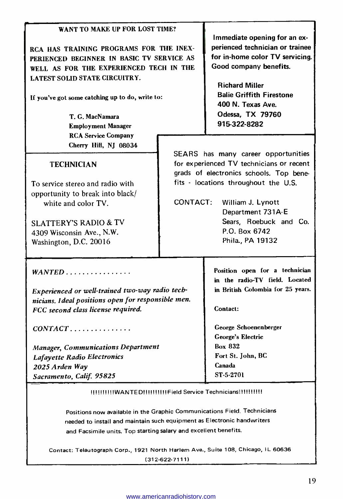| WANT TO MAKE UP FOR LOST TIME?<br>RCA HAS TRAINING PROGRAMS FOR THE INEX-<br>PERIENCED BEGINNER IN BASIC TV SERVICE AS<br>WELL AS FOR THE EXPERIENCED TECH IN THE<br><b>LATEST SOLID STATE CIRCUITRY.</b><br>If you've got some catching up to do, write to:<br>T. G. MacNamara<br><b>Employment Manager</b><br><b>RCA Service Company</b> |          | Immediate opening for an ex-<br>perienced technician or trainee<br>for in-home color TV servicing.<br>Good company benefits.<br><b>Richard Miller</b><br><b>Balie Griffith Firestone</b><br>400 N. Texas Ave.<br>Odessa, TX 79760<br>915-322-8282 |
|--------------------------------------------------------------------------------------------------------------------------------------------------------------------------------------------------------------------------------------------------------------------------------------------------------------------------------------------|----------|---------------------------------------------------------------------------------------------------------------------------------------------------------------------------------------------------------------------------------------------------|
| Cherry Hill, NJ 08034                                                                                                                                                                                                                                                                                                                      |          |                                                                                                                                                                                                                                                   |
| <b>TECHNICIAN</b>                                                                                                                                                                                                                                                                                                                          |          | SEARS has many career opportunities<br>for experienced TV technicians or recent<br>grads of electronics schools. Top bene-                                                                                                                        |
| To service stereo and radio with<br>opportunity to break into black/<br>white and color TV.<br><b>SLATTERY'S RADIO &amp; TV</b><br>4309 Wisconsin Ave., N.W.<br>Washington, D.C. 20016                                                                                                                                                     | CONTACT: | fits - locations throughout the U.S.<br>William J. Lynott<br>Department 731A-E<br>Sears, Roebuck and Co.<br>P.O. Box 6742<br>Phila., PA 19132                                                                                                     |
| $WANTED$                                                                                                                                                                                                                                                                                                                                   |          | Position open for a technician<br>in the radio-TV field. Located<br>in British Colombia for 25 years.                                                                                                                                             |
| Experienced or well-trained two-way radio tech-<br>nicians. I deal positions open for responsible men.<br>FCC second class license required.                                                                                                                                                                                               |          | Contact:                                                                                                                                                                                                                                          |
| $CONTACT$                                                                                                                                                                                                                                                                                                                                  |          | George Schoenenberger<br>George's Electric                                                                                                                                                                                                        |
| <b>Manager, Communications Department</b>                                                                                                                                                                                                                                                                                                  |          | <b>Box 832</b>                                                                                                                                                                                                                                    |
| Lafayette Radio Electronics                                                                                                                                                                                                                                                                                                                |          | Fort St. John, BC                                                                                                                                                                                                                                 |
| 2025 Arden Way                                                                                                                                                                                                                                                                                                                             |          | Canada<br>ST-5-2701                                                                                                                                                                                                                               |
| Sacramento, Calif. 95825                                                                                                                                                                                                                                                                                                                   |          |                                                                                                                                                                                                                                                   |

11111111111WANTED!11111111!Field Service Technicians!!!!!!!!!!

Positions now available in the Graphic Communications Field. Technicians needed to install and maintain such equipment as Electronic handwriters and Facsimile units. Top starting salary and excellent benefits.

Contact: Telautograph Corp., 1921 North Harlem Ave., Suite 108, Chicago, IL 60636 (312-622-7111)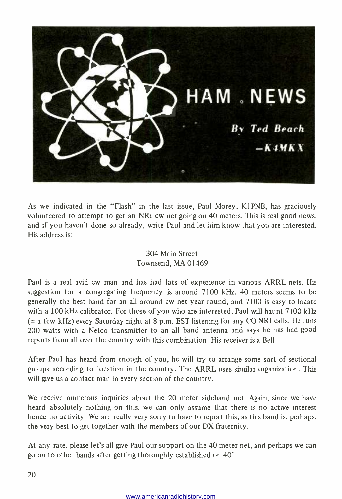

As we indicated in the "Flash" in the last issue, Paul Morey, K1PNB, has graciously volunteered to attempt to get an NRI cw net going on 40 meters. This is real good news, and if you haven't done so already, write Paul and let him know that you are interested. His address is:

### 304 Main Street Townsend, MA 01469

Paul is a real avid cw man and has had lots of experience in various ARRL nets. His suggestion for a congregating frequency is around 7100 kHz. 40 meters seems to be generally the best band for an all around cw net year round, and 7100 is easy to locate with a 100 kHz calibrator. For those of you who are interested, Paul will haunt 7100 kHz (± a few kHz) every Saturday night at 8 p.m. EST listening for any CQ NRI calls. He runs 200 watts with a Netco transmitter to an all band antenna and says he has had good reports from all over the country with this combination. His receiver is a Bell.

After Paul has heard from enough of you, he will try to arrange some sort of sectional groups according to location in the country. The ARRL uses similar organization. This will give us a contact man in every section of the country.

We receive numerous inquiries about the 20 meter sideband net. Again, since we have heard absolutely nothing on this, we can only assume that there is no active interest hence no activity. We are really very sorry to have to report this, as this band is, perhaps, the very best to get together with the members of our DX fraternity.

At any rate, please let's all give Paul our support on the 40 meter net, and perhaps we can go on to other bands after getting thoroughly established on 40!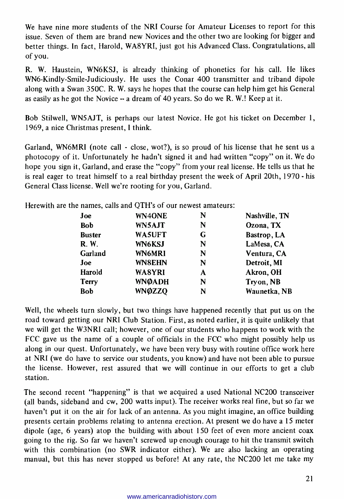We have nine more students of the NRI Course for Amateur Licenses to report for this issue. Seven of them are brand new Novices and the other two are looking for bigger and better things. In fact, Harold, WA8YRI, just got his Advanced Class. Congratulations, all of you.

R. W. Haustein, WN6KSJ, is already thinking of phonetics for his call. He likes WN6- Kindly -Smile- Judiciously. He uses the Conar 400 transmitter and triband dipole along with a Swan 350C. R. W. says he hopes that the course can help him get his General as easily as he got the Novice  $-$  a dream of 40 years. So do we R. W.! Keep at it.

Bob Stilwell, WN5AJT, is perhaps our latest Novice. He got his ticket on December 1, 1969, a nice Christmas present, I think.

Garland, WN6MRI (note call - close, wot?), is so proud of his license that he sent us a photocopy of it. Unfortunately he hadn't signed it and had written "copy" on it. We do hope you sign it, Garland, and erase the "copy" from your real license. He tells us that he is real eager to treat himself to a real birthday present the week of April 20th, 1970 - his General Class license. Well we're rooting for you, Garland.

Herewith are the names, calls and QTH's of our newest amateurs:

| Joe           | WN4ONE        | N | Nashville, TN |
|---------------|---------------|---|---------------|
| <b>Bob</b>    | WN5AJT        | N | Ozona, TX     |
| <b>Buster</b> | WA5UFT        | G | Bastrop, LA   |
| <b>R.W.</b>   | WN6KSJ        | N | LaMesa, CA    |
| Garland       | WN6MR1        | N | Ventura, CA   |
| Joe           | WN8EHN        | N | Detroit, MI   |
| Harold        | WA8YRI        | A | Akron, OH     |
| Terry         | <b>WNØADH</b> | N | Tryon, NB     |
| <b>Bob</b>    | <b>WNØZZQ</b> | N | Waunetka, NB  |

Well, the wheels turn slowly, but two things have happened recently that put us on the road toward getting our NRI Club Station. First, as noted earlier, it is quite unlikely that we will get the W3NRI call; however, one of our students who happens to work with the FCC gave us the name of a couple of officials in the FCC who might possibly help us along in our quest. Unfortunately, we have been very busy with routine office work here at NRI (we do have to service our students, you know) and have not been able to pursue the license. However, rest assured that we will continue in our efforts to get a club station.

The second recent "happening" is that we acquired a used National NC200 transceiver (all bands, sideband and cw, 200 watts input). The receiver works real fine, but so far we haven't put it on the air for lack of an antenna. As you might imagine, an office building presents certain problems relating to antenna erection. At present we do have a 15 meter dipole (age, 6 years) atop the building with about 150 feet of even more ancient coax going to the rig. So far we haven't screwed up enough courage to hit the transmit switch with this combination (no SWR indicator either). We are also lacking an operating manual, but this has never stopped us before! At any rate, the NC200 let me take my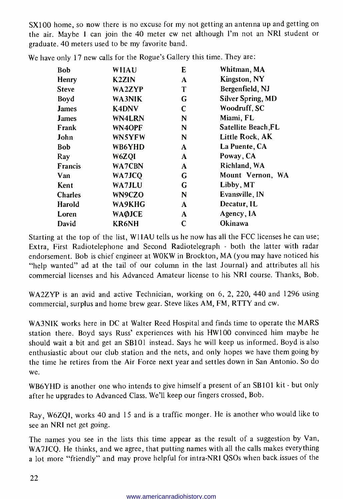SX100 home, so now there is no excuse for my not getting an antenna up and getting on the air. Maybe I can join the 40 meter cw net although I'm not an NRI student or graduate. 40 meters used to be my favorite band.

| Bob            | <b>WIIAU</b>  | E            | Whitman, MA         |
|----------------|---------------|--------------|---------------------|
| Henry          | <b>K2ZIN</b>  | A            | <b>Kingston, NY</b> |
| <b>Steve</b>   | <b>WA2ZYP</b> | T            | Bergenfield, NJ     |
| Boyd           | WA3NIK        | G            | Silver Spring, MD   |
| <b>James</b>   | <b>K4DNV</b>  | C            | Woodruff, SC        |
| <b>James</b>   | <b>WN4LRN</b> | N            | Miami, FL           |
| Frank          | WN4OPF        | N            | Satellite Beach, FL |
| John           | <b>WN5YFW</b> | N            | Little Rock, AK     |
| Bob            | WB6YHD        | A            | La Puente, CA       |
| Ray            | W6ZOI         | $\mathbf{A}$ | Poway, CA           |
| <b>Francis</b> | WA7CBN        | A            | Richland, WA        |
| Van            | WA7JCO        | G            | Mount Vernon, WA    |
| Kent           | WA7JLU        | G            | Libby, MT           |
| <b>Charles</b> | WN9CZO        | N            | Evansville, IN      |
| Harold         | WA9KHG        | A            | Decatur, IL         |
| Loren          | <b>WAØJCE</b> | A            | Agency, IA          |
| David          | <b>KR6NH</b>  | C            | Okinawa             |

We have only 17 new calls for the Rogue's Gallery this time. They are:

Starting at the top of the list, WIIAU tells us he now has all the FCC licenses he can use; Extra, First Radiotelephone and Second Radiotelegraph - both the latter with radar endorsement. Bob is chief engineer at WOKW in Brockton, MA (you may have noticed his "help wanted" ad at the tail of our column in the last Journal) and attributes all his commercial licenses and his Advanced Amateur license to his NRI course. Thanks, Bob.

WA2ZYP is an avid and active Technician, working on 6, 2, 220, 440 and 1296 using commercial, surplus and home brew gear. Steve likes AM, FM, RTTY and cw.

WA3NIK works here in DC at Walter Reed Hospital and finds time to operate the MARS station there. Boyd says Russ' experiences with his HW100 convinced him maybe he should wait a bit and get an SB101 instead. Says he will keep us informed. Boyd is also enthusiastic about our club station and the nets, and only hopes we have them going by the time he retires from the Air Force next year and settles down in San Antonio. So do

we. WB6YHD is another one who intends to give himself a present of an SB101 kit - but only after he upgrades to Advanced Class. We'll keep our fingers crossed, Bob.

Ray, W6ZQI, works 40 and 15 and is a traffic monger. He is another who would like to see an NRI net get going.

The names you see in the lists this time appear as the result of a suggestion by Van, WA7JCQ. He thinks, and we agree, that putting names with all the calls makes everything <sup>a</sup>lot more "friendly" and may prove helpful for intra -NRI QSOs when back issues of the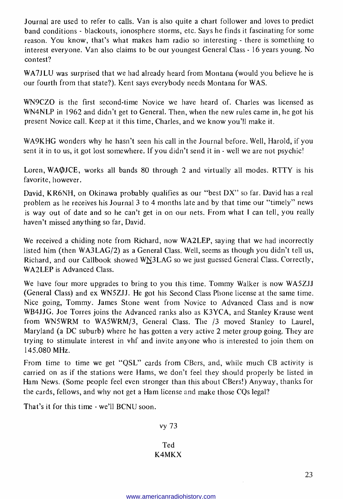Journal are used to refer to calls. Van is also quite a chart follower and loves to predict band conditions - blackouts, ionosphere storms, etc. Says he finds it fascinating for some reason. You know, that's what makes ham radio so interesting - there is something to interest everyone. Van also claims to be our youngest General Class - 16 years young. No contest?

WA7JLU was surprised that we had already heard from Montana (would you believe he is our fourth from that state?). Kent says everybody needs Montana for WAS.

WN9CZO is the first second-time Novice we have heard of. Charles was licensed as WN4NLP in 1962 and didn't get to General. Then, when the new rules came in, he got his present Novice call. Keep at it this time, Charles, and we know you'll make it.

WA9KHG wonders why he hasn't seen his call in the Journal before. Well, Harold, if you sent it in to us, it got lost somewhere. If you didn't send it in - well we are not psychic!

Loren, WAOJCE, works all bands 80 through 2 and virtually all modes. RTTY is his favorite, however.

David, KR6NH, on Okinawa probably qualifies as our "best DX" so far. David has a real problem as he receives his Journal 3 to 4 months late and by that time our "timely" news is way out of date and so he can't get in on our nets. From what I can tell, you really haven't missed anything so far, David.

We received a chiding note from Richard, now WA2LEP, saying that we had incorrectly listed him (then  $WAAAG/2$ ) as a General Class. Well, seems as though you didn't tell us, Richard, and our Callbook showed WN3LAG so we just guessed General Class. Correctly, WA2LEP is Advanced Class.

We have four more upgrades to bring to you this time. Tommy Walker is now WASZJJ (General Class) and ex WN5ZJJ. He got his Second Class Phone license at the same time. Nice going, Tommy. James Stone went from Novice to Advanced Class and is now WB4JJG. Joe Torres joins the Advanced ranks also as K3YCA, and Stanley Krause went from WN5WRM to WA5WRM/3, General Class. The /3 moved Stanley to Laurel, Maryland (a DC suburb) where he has gotten a very active 2 meter group going. They are trying to stimulate interest in vhf and invite anyone who is interested to join them on 145.080 MHz.

From time to time we get "QSL" cards from CBers, and, while much CB activity is carried on as if the stations were Hams, we don't feel they should properly be listed in Ham News. (Some people feel even stronger than this about CBers!) Anyway, thanks for the cards, fellows, and why not get a Ham license and make those CQs legal?

That's it for this time - we'll BCNU soon.

vy 73

### Ted K4MKX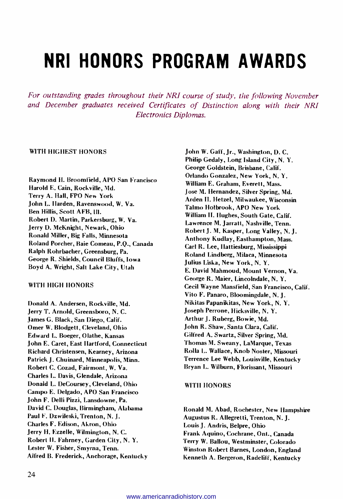# NRI HONORS PROGRAM AWARDS

For outstanding grades throughout their NRI course of study, the following November and December graduates received Certificates of Distinction along with their NRI Electronics Diplomas.

#### WITH HIGHEST HONORS

Raymond H. Broomfield, APO San Francisco Harold E. Cain, Rockville, Md. Terry A. Hall, FPO New York John L. Harden, Ravenswood, W. Va. Ben Hillis, Scott AFB, Ill. Robert D. Martin, Parkersburg, W. Va. Jerry D. McKnight, Newark, Ohio Ronald Miller, Big Falls, Minnesota Roland Porcher, Baie Comeau, P.Q., Canada Ralph Rohrbacher, Greensburg, Pa. George R. Shields, Council Bluffs, Iowa Boyd A. Wright, Salt Lake City, Utah

#### WITH HIGH HONORS

Donald A. Andersen, Rockville, Md. Jerry T. Arnold, Greensboro, N. C. James G. Black, San Diego, Calif. Omer W. Blodgett, Cleveland, Ohio Edward L. Boeger, Olathe, Kansas John E. Caret, East Hartford, Connecticut Richard Christensen, Kearney, Arizona Patrick J. Chuinard, Minneapolis, Minn. Robert C. Cozad, Fairmont, W. Va. Charles L. Davis, Glendale, Arizona Donald L. DeCoursey, Cleveland, Ohio Campo E. Delgado, APO San Francisco John F. Delli Pizzi, Lansdowne, Pa. David C. Douglas, Birmingham, Alabama Paul F. Dzwileski, Trenton, N. J. Charles F. Edison, Akron, Ohio Jerry H. Ezzelle, Wilmington, N. C. Robert H. Fahrney, Garden City, N. Y. Lester W. Fisher, Smyrna, Tenn. Alfred B. Frederick, Anchorage, Kentucky

John W. Gaff, Jr., Washington, D. C. Philip Gedaly, Long Island City, N. Y. George Goldstein, Brisbane, Calif. Orlando Gonzalez, New York, N. Y. William E. Graham, Everett, Mass. Jose M. Hernandez, Silver Spring, Md. Arden H. Hetzel, Milwaukee, Wisconsin Talmo Holbrook, APO New York William H. Hughes, South Gate, Calif. Lawrence M. Jarratt, Nashville, Tenn. Robert J. M. Kasper, Long Valley, N. J. Anthony Kudlay, Easthampton, Mass. Carl R. Lee, Hattiesburg, Mississippi Roland Lindberg, Milaca, Minnesota Julius Liska, New York, N. Y. E. David Mahmoud, Mount Vernon, Va. George R. Maier, Lincolndale, N. Y. Cecil Wayne Mansfield, San Francisco, Calif. Vito F. Panaro, Bloomingdale, N. J. Nikitas Papanikitas, New York, N. Y. Joseph Perrone, Hicksville, N. Y. Arthur J. Ruberg, Bowie, Md. John R. Shaw, Santa Clara, Calif. Gilfred A. Swartz, Silver Spring, Md. Thomas M. Sweany, LaMarque, Texas Rolla L. Wallace, Knob Noster, Missouri Terrence Lee Webb, Louisville, Kentucky Bryan L. Wilburn, Florissant, Missouri

#### WITH HONORS

Ronald M. Abad, Rochester, New Hampshire Augustus R. Allegretti, Trenton, N. J. Louis J. Andris, Belpre, Ohio Frank Aquino, Cochrane, Ont., Canada Terry W. Ballou, Westminster, Colorado Winston Robert Barnes, London, England Kenneth A. Bergeron, Radcliff, Kentucky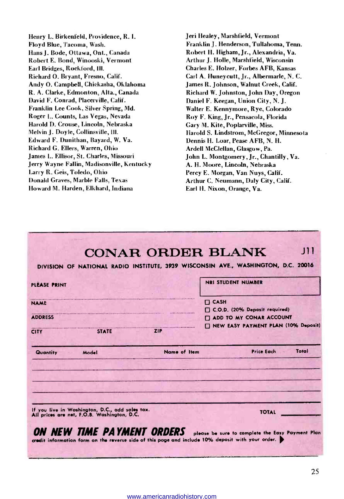Henry L. Birkenfeld, Providence, R. I. Floyd Blue, Tacoma, Wash. Hans J. Bode, Ottawa, Ont., Canada Robert E. Bond, Winooski, Vermont Earl Bridges, Rockford, Ill. Richard O. Bryant, Fresno, Calif. Andy O. Campbell, Chickasha, Oklahoma R. A. Clarke, Edmonton, Alta., Canada David F. Conrad, Placerville, Calif. Franklin Lee Cook, Silver Spring, Md. Roger L. Counts, Las Vegas, Nevada Harold D. Crouse, Lincoln, Nebraska Melvin J. Doyle, Collinsville, HI. Edward F. Dunithan, Bayard, W. Va. Richard G. Ellers, Warren, Ohio James L. Ellisor, St. Charles, Missouri Jerry Wayne Fallin, Madisonville, Kentucky Larry R. Geis, Toledo, Ohio Donald Graves, Marble Falls, Texas Howard M. Harden, Elkhard, Indiana

Jeri Healey, Marshfield, Vermont Franklin J. Henderson, Tullahoma, Tenn. Robert H. Higham, Jr., Alexandria, Va. Arthur J. Holle, Marshfield, Wisconsin Charles E. Holzer, Forbes AFB, Kansas Carl A. Huneycutt, Jr., Albermarle, N. C. James R. Johnson, Walnut Creek, Calif. Richard W. Johnston, John Day, Oregon Daniel F. Keegan, Union City, N. J. Walter E. Kennymore, Rye, Colorado Roy F. King, Jr., Pensacola, Florida Gary M. Kite, Poplarville, Miss. Harold S. Lindstrom, McGregor, Minnesota Dennis H. Loar, Pease AFB, N. H. Ardell McClellan, Glasgow, Pa. John L. Montgomery, Jr., Chantilly, Va. A. H. Moore, Lincoln, Nebraska Percy E. Morgan, Van Nuys, Calif. Arthur C. Neumann, Daly City, Calif. Earl H. Nixon, Orange, Va.

| PLEASE PRINT                                                                                   |              | <b>NRI STUDENT NUMBER</b>                    |
|------------------------------------------------------------------------------------------------|--------------|----------------------------------------------|
| <b>NAME</b>                                                                                    |              | $\Box$ CASH<br>C.O.D. (20% Deposit required) |
| <b>ADDRESS</b>                                                                                 |              | <b>IT ADD TO MY CONAR ACCOUNT</b>            |
| <b>STATE</b><br><b>CITY</b>                                                                    | <b>ZIP</b>   | NEW EASY PAYMENT PLAN (10% Deposit)          |
| Quantity<br>Model                                                                              | Name of Item | <b>Price Each</b><br>Total                   |
|                                                                                                |              |                                              |
| If you live in Washington, D.C., add sales tax.<br>All prices are net, F.O.B. Washington, D.C. |              | <b>TOTAL</b>                                 |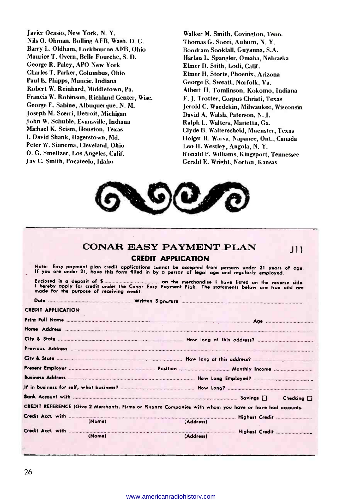Javier Ocasio, New York, N. Y. Nils O. Ohman, Bolling AFB, Wash. D. C. Barry L. Oldham, Lockbourne AFB, Ohio Maurice T. Overn, Belle Fourche, S. D. George R. Paley, APO New York Charles T. Parker, Columbus, Ohio Paul E. Phipps, Muncie, Indiana Robert W. Reinhard, Middletown, Pa. Francis W. Robinson, Richland Center, Wisc. George E. Sabine, Albuquerque, N. M. Joseph M. Scerri, Detroit, Michigan John W. Schuble, Evansville, Indiana Michael K. Scism, Houston, Texas I. David Shank, Hagerstown, Md. Peter W. Sinnema, Cleveland, Ohio O. G. Smeltzer, Los Angeles, Calif. Jay C. Smith, Pocateelo, Idaho

Walker M. Smith, Covington, Tenn. Thomas G. Socci, Auburn, N. Y. Boodram Sooklall, Guyanna, S.A. Harlan L. Spangler, Omaha, Nebraska Elmer D. Stith, Lodi, Calif. Elmer H. Storts, Phoenix, Arizona George E. Sweatt, Norfolk, Va. Albert H. Tomlinson, Kokomo, Indiana F. J. Trotter, Corpus Christi, Texas Jerold C. Waedekin, Milwaukee, Wisconsin David A. Walsh, Paterson, N. J. Ralph L. Walters, Marietta, Ga. Clyde B. Walterscheid, Muenster, Texas Holger R. Warva, Napanee, Ont., Canada Leo H. Westley, Angola, N. Y. Ronald P. Williams, Kingsport, Tennessee Gerald E. Wright, Norton, Kansas



|                           |                                           | CONAR EASY PAYMENT PLAN                                                                                                                                                                              | $\perp$ |
|---------------------------|-------------------------------------------|------------------------------------------------------------------------------------------------------------------------------------------------------------------------------------------------------|---------|
|                           |                                           | <b>CREDIT APPLICATION</b>                                                                                                                                                                            |         |
|                           |                                           | Note: Easy payment plan credit applications cannot be accepted from persons under 21 years of age.<br>If you are under 21, have this form filled in by a person of legal age and regularly employed. |         |
|                           | made for the purpose of receiving credit. | I hereby apply for credit under the Conar Easy Payment Plah. The statements belaw are true and are                                                                                                   |         |
|                           |                                           |                                                                                                                                                                                                      |         |
| <b>CREDIT APPLICATION</b> |                                           |                                                                                                                                                                                                      |         |
|                           |                                           |                                                                                                                                                                                                      |         |
|                           |                                           |                                                                                                                                                                                                      |         |
|                           |                                           |                                                                                                                                                                                                      |         |
|                           |                                           |                                                                                                                                                                                                      |         |
|                           |                                           |                                                                                                                                                                                                      |         |
|                           |                                           |                                                                                                                                                                                                      |         |
|                           |                                           |                                                                                                                                                                                                      |         |
|                           |                                           |                                                                                                                                                                                                      |         |
|                           |                                           |                                                                                                                                                                                                      |         |
|                           |                                           | CREDIT REFERENCE (Give 2 Merchants, Firms or Finance Companies with whom you have or have had accounts.                                                                                              |         |
|                           |                                           |                                                                                                                                                                                                      |         |
|                           | (Name)                                    | (Address)                                                                                                                                                                                            |         |
|                           | (Name)                                    | (Address)                                                                                                                                                                                            |         |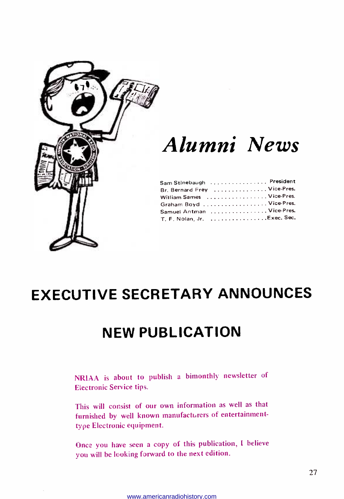

# Alumni News

| Sam Stinebaugh   President  |  |  |  |  |  |  |  |  |
|-----------------------------|--|--|--|--|--|--|--|--|
| Br. Bernard Frey Vice-Pres. |  |  |  |  |  |  |  |  |
| William Sames Vice-Pres.    |  |  |  |  |  |  |  |  |
| Graham Boyd Vice-Pres.      |  |  |  |  |  |  |  |  |
| Samuel Antman Vice-Pres.    |  |  |  |  |  |  |  |  |
| T. F. Nolan, Jr. Exec. Sec. |  |  |  |  |  |  |  |  |

# EXECUTIVE SECRETARY ANNOUNCES

# NEW PUBLICATION

NRIAA is about to publish a bimonthly newsletter of Electronic Service tips.

This will consist of our own information as well as that furnished by well known manufacturers of entertainmenttype Electronic equipment.

Once you have seen a copy of this publication, I believe you will be looking forward to the next edition.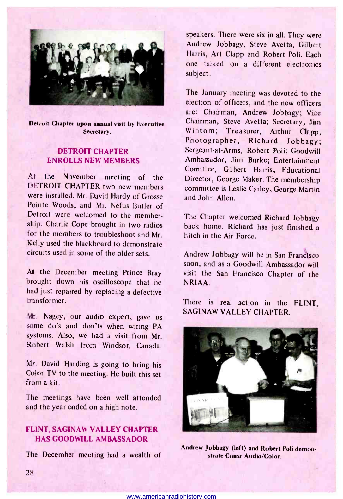

Detroit Chapter upon annual visit by Executive Secretary.

### DETROIT CHAPTER ENROLLS NEW MEMBERS

At the November meeting of the<br>DETROIT CHAPTER two new members were installed. Mr. David Hardy of Grosse Pointe Woods, and Mr. Nefus Butler of Detroit were welcomed to the membership. Charlie Cope brought in two radios for the members to troubleshoot and Mr. Kelly used the blackboard to demonstrate circuits used in some of the older sets.

At the December meeting Prince Bray brought down his oscilloscope that he had just repaired by replacing a defective transformer.

Mr. Nagey, our audio expert, gave us some do's and don'ts when wiring PA systems. Also, we had a visit from Mr. Robert Walsh from Windsor, Canada.

Mr. David Harding is going to bring his Color TV to the meeting. He built this set from a kit.

The meetings have been well attended and the year ended on a high note.

### FLINT, SAGINAW VALLEY CHAPTER HAS GOODWILL AMBASSADOR

The December meeting had a wealth of

speakers. There were six in all. They were Andrew Jobbagy, Steve Avetta, Gilbert Harris, Art Clapp and Robert Poli. Each one talked on a different electronics subject.

The January meeting was devoted to the election of officers, and the new officers are: Chairman, Andrew Jobbagy; Vice Chairman, Steve Avetta; Secretary, Jim Wintom; Treasurer, Arthur Clapp; Photographer, Richard Jobbagy; Sergeant -at -Arms, Robert Poli; Goodwill Ambassador, Jim Burke; Entertainment Comittee, Gilbert Harris; Educational Director, George Maker. The membership committee is Leslie Carley, George Martin and John Allen.

The Chapter welcomed Richard Jobbagy back home. Richard has just finished a hitch in the Air Force.

Andrew Jobbagy will be in San Frandisco soon, and as a Goodwill Ambassador will visit the San Francisco Chapter of the NRIAA.

There is real action in the FLINT, SAGINAW VALLEY CHAPTER.



Andrew Jobbagy (left) and Robert Poli demonstrate Conar Audio/Color.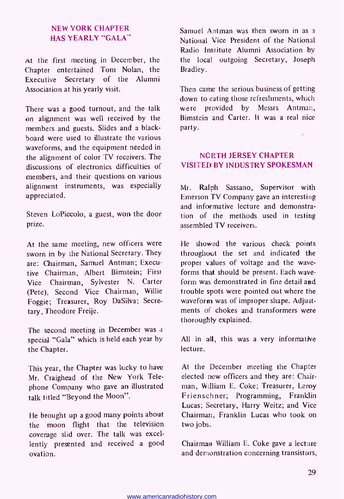### NEW YORK CHAPTER HAS YEARLY "GALA"

At the first meeting in December, the Chapter entertained Tom Nolan, the Executive Secretary of the Alumni Association at his yearly visit.

There was a good turnout, and the talk on alignment was well received by the members and guests. Slides and a blackboard were used to illustrate the various waveforms, and the equipment needed in the alignment of color TV receivers. The discussions of electronics difficulties of members, and their questions on various alignment instruments, was especially appreciated.

Steven LoPiccolo, a guest, won the door prize.

At the same meeting, new officers were sworn in by the National Secretary. They are: Chairman, Samuel Antman; Executive Chairman, Albert Bimstein; First Vice Chairman, Sylvester N. Carter (Pete), Second Vice Chairman, Willie Foggie; Treasurer, Roy DaSilva; Secretary, Theodore Freije.

The second meeting in December was a special "Gala" which is held each year by the Chapter.

This year, the Chapter was lucky to have Mr. Craighead of the New York Telephone Company who gave an illustrated talk titled "Beyond the Moon".

He brought up a good many points about the moon flight that the television coverage slid over. The talk was excellently presented and received a good ovation.

Samuel Antman was then sworn in as a National Vice President of the National Radio Institute Alumni Association by the local outgoing Secretary, Joseph Bradley.

Then came the serious business of getting down to eating those refreshments, which<br>were provided by Messrs Antman. provided by Messrs Antman, Bimstein and Carter. It was a real nice party.

### NORTH JERSEY CHAPTER VISITED BY INDUSTRY SPOKESMAN

Mr. Ralph Sassano, Supervisor with Emerson TV Company gave an interesting and informative lecture and demonstration of the methods used in testing assembled TV receivers.

He showed the various check points throughout the set and indicated the proper values of voltage and the wave forms that should be present. Each wave form was demonstrated in fine detail and trouble spots were pointed out where the waveform was of improper shape. Adjustments of chokes and transformers were thoroughly explained.

All in all, this was a very informative lecture.

At the December meeting the Chapter elected new officers and they are: Chairman, William E. Coke; Treasurer, Leroy Frienschner; Programming, Franklin Lucas; Secretary, Harry Weitz; and Vice Chairman, Franklin Lucas who took on two jobs.

Chairman William E. Coke gave a lecture and demonstration concerning transistors,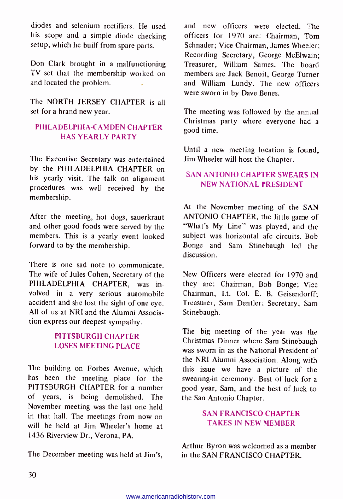diodes and selenium rectifiers. He used his scope and a simple diode checking setup, which he builf from spare parts.

Don Clark brought in a malfunctioning TV set that the membership worked on and located the problem.

The NORTH JERSEY CHAPTER is all set for a brand new year.

### PHILADELPHIA-CAMDEN CHAPTER HAS YEARLY PARTY

The Executive Secretary was entertained by the PHILADELPHIA CHAPTER on his yearly visit. The talk on alignment procedures was well received by the membership.

After the meeting, hot dogs, sauerkraut and other good foods were served by the members. This is a yearly event looked forward to by the membership.

There is one sad note to communicate. The wife of Jules Cohen, Secretary of the PHILADELPHIA CHAPTER, was involved in a very serious automobile accident and she lost the sight of one eye. All of us at NRI and the Alumni Association express our deepest sympathy.

### PITTSBURGH CHAPTER LOSES MEETING PLACE

The building on Forbes Avenue, which has been the meeting place for the PITTSBURGH CHAPTER for a number of years, is being demolished. The November meeting was the last one held in that hall. The meetings from now on will be held at Jim Wheeler's home at 1436 Riverview Dr., Verona, PA.

The December meeting was held at Jim's, in the SAN FRANCISCO CHAPTER.

and new officers were elected. The officers for 1970 are: Chairman, Tom Schnader; Vice Chairman, James Wheeler; Recording Secretary, George McElwain; Treasurer, William Sames. The board members are Jack Benoit, George Turner and William Lundy. The new officers were sworn in by Dave Benes.

The meeting was followed by the annual Christmas party where everyone had a good time.

Until a new meeting location is found, Jim Wheeler will host the Chapter.

### SAN ANTONIO CHAPTER SWEARS IN NEW NATIONAL PRESIDENT

At the November meeting of the SAN ANTONIO CHAPTER, the little game of "What's My Line" was played, and the subject was horizontal afc circuits. Bob Bonge and Sam Stinebaugh led the discussion.

New Officers were elected for 1970 and they are: Chairman, Bob Bonge; Vice Chairman, Lt. Col. E. B. Geisendorff; Treasurer, Sam Dentier; Secretary, Sam Stinebaugh.

The big meeting of the year was the Christmas Dinner where Sam Stinebaugh was sworn in as the National President of the NRI Alumni Association. Along with this issue we have a picture of the swearing-in ceremony. Best of luck for a good year, Sam, and the best of luck to the San Antonio Chapter.

### SAN FRANCISCO CHAPTER TAKES IN NEW MEMBER

Arthur Byron was welcomed as a member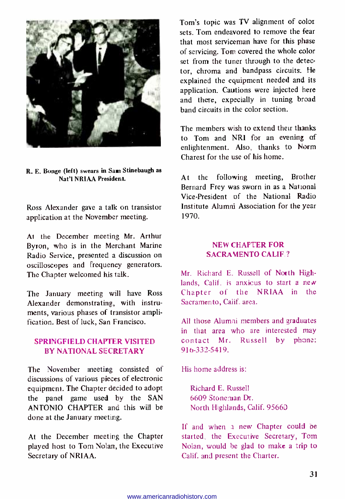

R. E. Bonge (left) swears in San Stinebaugh as Nat'l NR1AA President.

Ross Alexander gave a talk on transistor application at the November meeting.

At the December meeting Mr. Arthur Byron, who is in the Merchant Marine<br>Radio Service, presented a discussion on oscilloscopes and frequency generators. The Chapter welcomed his talk.

The January meeting will have Ross Alexander demonstrating, with instruments, various phases of transistor amplification. Best of luck, San Francisco.

### SPRINGFIELD CHAPTER VISITED BY NATIONAL SECRETARY

The November meeting consisted of discussions of various pieces of electronic equipment. The Chapter decided to adopt the panel game used by the SAN ANTONIO CHAPTER and this will be done at the January meeting.

At the December meeting the Chapter played host to Tom Nolan, the Executive Secretary of NRIAA.

Tom's topic was TV alignment of color sets. Tom endeavored to remove the fear that most serviceman have for this phase of servicing. Tom covered the whole color set from the tuner through to the detector, chroma and bandpass circuits. He explained the equipment needed and its application. Cautions were injected here and there, expecially in tuning broad band circuits in the color section.

The members wish to extend their thanks to Tom and NRI for an evening of enlightenment. Also, thanks to Norm Charest for the use of his home.

At the following meeting, Brother Bernard Frey was sworn in as a National Vice -President of the National Radio Institute Alumni Association for the year 1970.

### NEW CHAPTER FOR SACRAMENTO CALIF.?

Mr. Richard E. Russell of North Highlands. Calif. is anxious to start a new Chapter of the NRIAA in the Sacramento, Calif. area.

All those Alumni members and graduates in that area who are interested may contact Mr. Russell by phone: 916 -332 -5419.

His home address is:

Richard E. Russell 6609 Stoneman Dr. North Highlands, Calif. 95660

If and when a new Chapter could be started, the Executive Secretary, Tom Nolan, would be glad to make a trip to Calif. and present the Charter.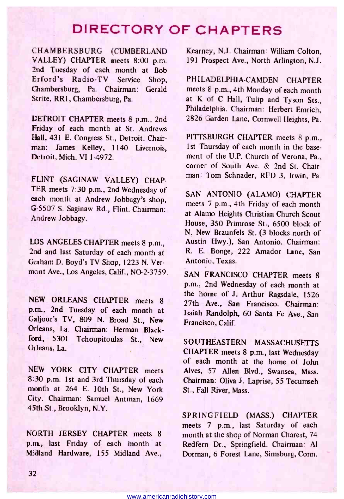### DIRECTORY OF CHAPTERS

CHAMBERSBURG (CUMBERLAND VALLEY) CHAPTER meets 8:00 p.m. 2nd Tuesday of each month at Bob Erford's Radio -TV Service Shop, Chambersburg, Pa. Chairman: Gerald Strite, RRl , Chambersburg, Pa.

DETROIT CHAPTER meets 8 p.m., 2nd Friday of each month at St. Andrews Hall, 431 E. Congress St., Detroit. Chairman: James Kelley, 1140 Livernois, Detroit, Mich. VI 1-4972.

FLINT (SAGINAW VALLEY) CHAP-TER meets 7:30 p.m., 2nd Wednesday of each month at Andrew Jobbagy's shop, G -5507 S. Saginaw Rd., Flint. Chairman: Andrew Jobbagy.

LOS ANGELES CHAPTER meets 8 p.m., 2nd and last Saturday of each month at Graham D. Boyd's TV Shop, 1223 N. Vermont Ave., Los Angeles, Calif., NO-2-3759.

NEW ORLEANS CHAPTER meets 8 p.m., 2nd Tuesday of each month at Galjour's TV, 809 N. Broad St., New Orleans, La. Chairman: Herman Blackford, 5301 Tchoupitoulas St., New Orleans, La.

NEW YORK CITY CHAPTER meets 8:30 p.m. 1st and 3rd Thursday of each month at 264 E. 10th St., New York City. Chairman: Samuel Antman, 1669 45th St., Brooklyn, N.Y.

NORTH JERSEY CHAPTER meets 8 p.m., last Friday of each month at Midland Hardware, 155 Midland Ave.,

Kearney, N.J. Chairman: William Colton, 191 Prospect Ave., North Arlington, N.J.

PHILADELPHIA-CAMDEN CHAPTER meets 8 p.m., 4th Monday of each month at K of C Hall, Tulip and Tyson Sts., Philadelphia. Chairman: Herbert Emrich, 2826 Garden Lane, Cornwell Heights, Pa.

PITTSBURGH CHAPTER meets 8 p.m., 1st Thursday of each month in the basement of the U.P. Church of Verona, Pa., corner of South Ave. & 2nd St. Chairman: Tom Schnader, RFD 3, Irwin, Pa.

SAN ANTONIO (ALAMO) CHAPTER meets 7 p.m., 4th Friday of each month at Alamo Heights Christian Church Scout House, 350 Primrose St., 6500 block of N. New Braunfels St. (3 blocks north of Austin Hwy.), San Antonio. Chairman: R. E. Bonge, 222 Amador Lane, San Antonio, Texas.

SAN FRANCISCO CHAPTER meets 8 p.m., 2nd Wednesday of each month at the home of J. Arthur Ragsdale, 1526 27th Ave., San Francisco. Chairman: Isaiah Randolph, 60 Santa Fe Ave., San Francisco, Calif.

SOUTHEASTERN MASSACHUSETTS CHAPTER meets 8 p.m., last Wednesday of each month at the home of John Alves, 57 Allen Blvd., Swansea, Mass. Chairman: Oliva J. Laprise, 55 Tecumseh St., Fall River, Mass.

SPRINGFIELD (MASS.) CHAPTER meets 7 p.m., last Saturday of each month at the shop of Norman Charest, 74 Redfern Dr., Springfield. Chairman: Al Dorman, 6 Forest Lane, Simsburg, Conn.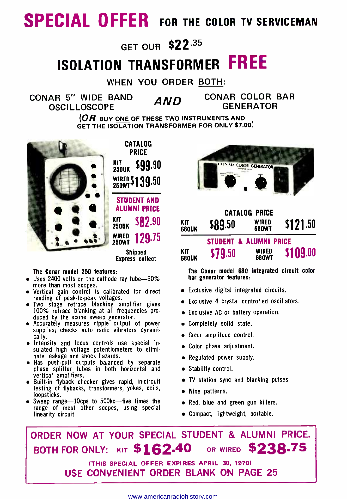# SPECIAL OFFER FOR THE COLOR TV SERVICEMAN

# GET OUR \$22.35

# ISOLATION TRANSFORMER FREE

WHEN YOU ORDER BOTH:

CONAR 5" WIDE BAND  $\overline{AND}$  CONAR COLOR BAR OSCILLOSCOPE

**OR BUY ONE OF THESE TWO INSTRUMENTS AND** GET THE ISOLATION TRANSFORMER FOR ONLY \$7.00)



PRICE 250UK 599.90 WIRED\$139.50 STUDENT AND ALUMNI PRICE  $KIT_{250UK}$  \$82.90 WIRED<br>250WT 129.75

CATALOG

Shipped Express collect

#### The Conar model 250 features:

- $\bullet$  Uses 2400 volts on the cathode ray tube-50% more than most scopes.
- 
- Vertical gain control is calibrated for direct<br>reading of peak-to-peak voltages.<br>Two stage retrace blanking amplifier gives<br>100% retrace blanking at all frequencies produced by the scope sweep generator.
- Accurately measures ripple output of power supplies; checks auto radio vibrators dynamically.
- Intensity and focus controls use special in sulated high voltage potentiometers to elimi nate leakage and shock hazards.
- Has push -pull outputs balanced by separate phase splitter tubes in both horizontal and vertical amplifiers.
- $\bullet$  Built-in flyback checker gives rapid, in-circuit testing of flybacks, transformers, yokes, coils, loopsticks.
- Sweep range-10cps to 500kc-five times the range of most other scopes, using special linearity circuit.



| <b>CATALOG PRICE</b>       |                                   |                |          |  |  |  |  |
|----------------------------|-----------------------------------|----------------|----------|--|--|--|--|
| KIT<br><b>680UK</b>        | \$89.50                           | WIRED<br>680WT | \$121.50 |  |  |  |  |
|                            | <b>STUDENT &amp; ALUMNI PRICE</b> |                |          |  |  |  |  |
| <b>KIT</b><br><b>680UK</b> | \$79.50                           | WIRED<br>680WT | \$109.00 |  |  |  |  |

The Conar model 680 integrated circuit color bar generator features:

- Exclusive digital integrated circuits.
- Exclusive 4 crystal controlled oscillators.
- Exclusive AC or battery operation.
- Completely solid state.
- Color amplitude control.
- Color phase adjustment.
- Regulated power supply.
- **Stability control.**
- TV station sync and blanking pulses.
- Nine patterns.
- Red, blue and green gun killers.
- Compact, lightweight, portable.

# ORDER NOW AT YOUR SPECIAL STUDENT & ALUMNI PRICE. BOTH FOR ONLY: KIT \$162.40 OR WIRED \$238.75

(THIS SPECIAL OFFER EXPIRES APRIL 30, 1970) USE CONVENIENT ORDER BLANK ON PAGE 25